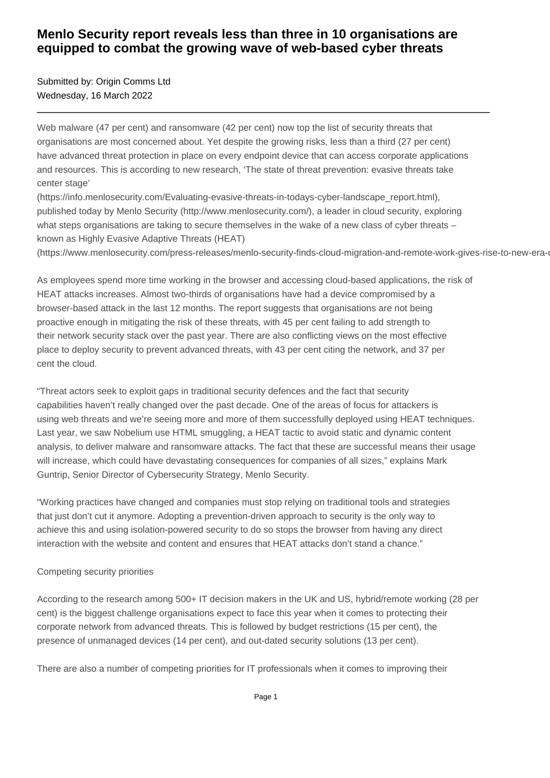## **Menlo Security report reveals less than three in 10 organisations are equipped to combat the growing wave of web-based cyber threats**

Submitted by: Origin Comms Ltd Wednesday, 16 March 2022

Web malware (47 per cent) and ransomware (42 per cent) now top the list of security threats that organisations are most concerned about. Yet despite the growing risks, less than a third (27 per cent) have advanced threat protection in place on every endpoint device that can access corporate applications and resources. This is according to new research, 'The state of threat prevention: evasive threats take center stage'

(https://info.menlosecurity.com/Evaluating-evasive-threats-in-todays-cyber-landscape\_report.html), published today by Menlo Security (http://www.menlosecurity.com/), a leader in cloud security, exploring what steps organisations are taking to secure themselves in the wake of a new class of cyber threats – known as Highly Evasive Adaptive Threats (HEAT)

(https://www.menlosecurity.com/press-releases/menlo-security-finds-cloud-migration-and-remote-work-gives-rise-to-new-era-o

As employees spend more time working in the browser and accessing cloud-based applications, the risk of HEAT attacks increases. Almost two-thirds of organisations have had a device compromised by a browser-based attack in the last 12 months. The report suggests that organisations are not being proactive enough in mitigating the risk of these threats, with 45 per cent failing to add strength to their network security stack over the past year. There are also conflicting views on the most effective place to deploy security to prevent advanced threats, with 43 per cent citing the network, and 37 per cent the cloud.

"Threat actors seek to exploit gaps in traditional security defences and the fact that security capabilities haven't really changed over the past decade. One of the areas of focus for attackers is using web threats and we're seeing more and more of them successfully deployed using HEAT techniques. Last year, we saw Nobelium use HTML smuggling, a HEAT tactic to avoid static and dynamic content analysis, to deliver malware and ransomware attacks. The fact that these are successful means their usage will increase, which could have devastating consequences for companies of all sizes," explains Mark Guntrip, Senior Director of Cybersecurity Strategy, Menlo Security.

"Working practices have changed and companies must stop relying on traditional tools and strategies that just don't cut it anymore. Adopting a prevention-driven approach to security is the only way to achieve this and using isolation-powered security to do so stops the browser from having any direct interaction with the website and content and ensures that HEAT attacks don't stand a chance."

#### Competing security priorities

According to the research among 500+ IT decision makers in the UK and US, hybrid/remote working (28 per cent) is the biggest challenge organisations expect to face this year when it comes to protecting their corporate network from advanced threats. This is followed by budget restrictions (15 per cent), the presence of unmanaged devices (14 per cent), and out-dated security solutions (13 per cent).

There are also a number of competing priorities for IT professionals when it comes to improving their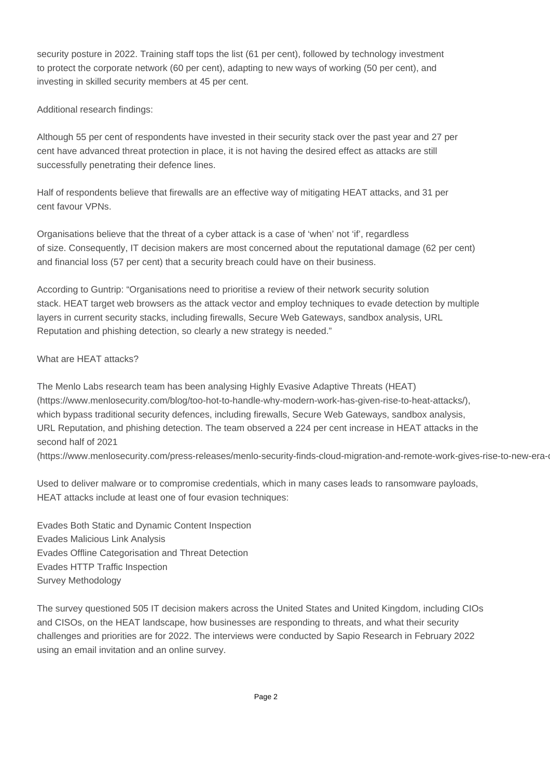security posture in 2022. Training staff tops the list (61 per cent), followed by technology investment to protect the corporate network (60 per cent), adapting to new ways of working (50 per cent), and investing in skilled security members at 45 per cent.

Additional research findings:

Although 55 per cent of respondents have invested in their security stack over the past year and 27 per cent have advanced threat protection in place, it is not having the desired effect as attacks are still successfully penetrating their defence lines.

Half of respondents believe that firewalls are an effective way of mitigating HEAT attacks, and 31 per cent favour VPNs.

Organisations believe that the threat of a cyber attack is a case of 'when' not 'if', regardless of size. Consequently, IT decision makers are most concerned about the reputational damage (62 per cent) and financial loss (57 per cent) that a security breach could have on their business.

According to Guntrip: "Organisations need to prioritise a review of their network security solution stack. HEAT target web browsers as the attack vector and employ techniques to evade detection by multiple layers in current security stacks, including firewalls, Secure Web Gateways, sandbox analysis, URL Reputation and phishing detection, so clearly a new strategy is needed."

### What are HEAT attacks?

The Menlo Labs research team has been analysing Highly Evasive Adaptive Threats (HEAT) (https://www.menlosecurity.com/blog/too-hot-to-handle-why-modern-work-has-given-rise-to-heat-attacks/), which bypass traditional security defences, including firewalls, Secure Web Gateways, sandbox analysis, URL Reputation, and phishing detection. The team observed a 224 per cent increase in HEAT attacks in the second half of 2021

(https://www.menlosecurity.com/press-releases/menlo-security-finds-cloud-migration-and-remote-work-gives-rise-to-new-era-

Used to deliver malware or to compromise credentials, which in many cases leads to ransomware payloads, HEAT attacks include at least one of four evasion techniques:

Evades Both Static and Dynamic Content Inspection Evades Malicious Link Analysis Evades Offline Categorisation and Threat Detection Evades HTTP Traffic Inspection Survey Methodology

The survey questioned 505 IT decision makers across the United States and United Kingdom, including CIOs and CISOs, on the HEAT landscape, how businesses are responding to threats, and what their security challenges and priorities are for 2022. The interviews were conducted by Sapio Research in February 2022 using an email invitation and an online survey.